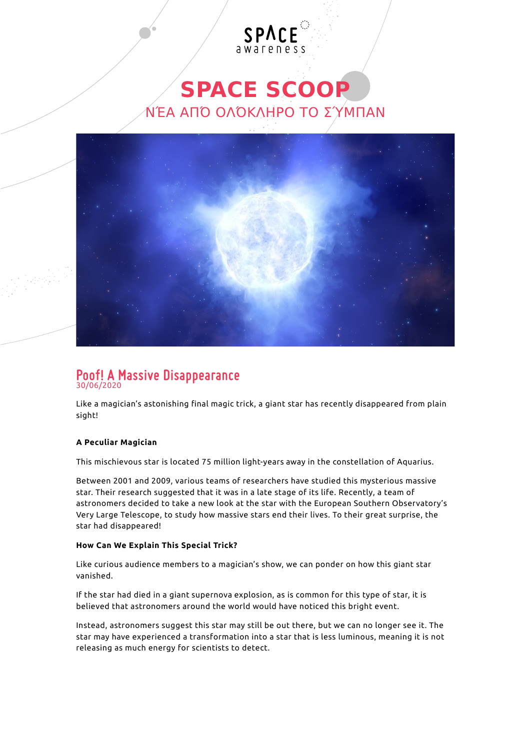## **SPACE SCOOP** ΝΈΑ ΑΠΌ ΟΛΌΚΛΗΡΟ ΤΟ ΣΎΜΠΑΝ

SPACE



# **Poof! A Massive Disappearance** 30/06/2020

Like a magician's astonishing final magic trick, a giant star has recently disappeared from plain sight!

### **A Peculiar Magician**

This mischievous star is located 75 million [light-years](http://www.spacescoop.org/en/words/light-year/) away in the constellation of Aquarius.

Between 2001 and 2009, various teams of researchers have studied this mysterious massive star. Their research suggested that it was in a late stage of its life. Recently, a team of astronomers decided to take a new look at the star with the European Southern Observatory's Very Large Telescope, to study how massive stars end their lives. To their great surprise, the star had disappeared!

#### **How Can We Explain This Special Trick?**

Like curious audience members to a magician's show, we can ponder on how this giant star vanished.

If the star had died in a giant [supernova](http://www.spacescoop.org/en/words/supernova/) explosion, as is common for this type of star, it is believed that astronomers around the world would have noticed this bright event.

Instead, astronomers suggest this star may still be out there, but we can no longer see it. The star may have experienced a transformation into a star that is less luminous, meaning it is not releasing as much energy for scientists to detect.